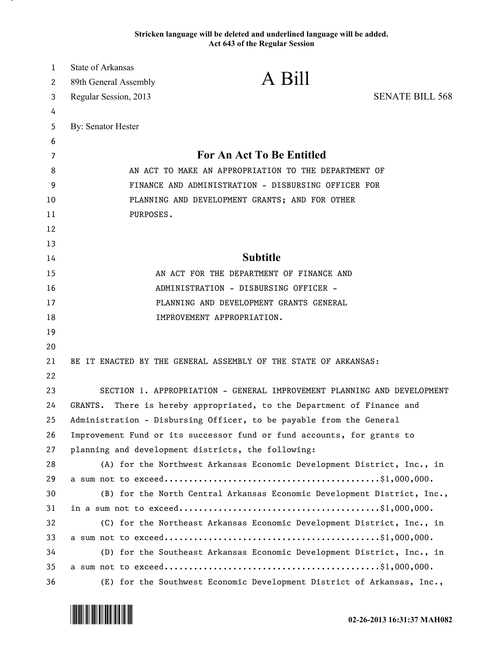## **Stricken language will be deleted and underlined language will be added. Act 643 of the Regular Session**

| $\mathbf{1}$ | <b>State of Arkansas</b>                                                  | A Bill                                                                  |                        |
|--------------|---------------------------------------------------------------------------|-------------------------------------------------------------------------|------------------------|
| 2            | 89th General Assembly                                                     |                                                                         |                        |
| 3            | Regular Session, 2013                                                     |                                                                         | <b>SENATE BILL 568</b> |
| 4            |                                                                           |                                                                         |                        |
| 5            | By: Senator Hester                                                        |                                                                         |                        |
| 6            |                                                                           | <b>For An Act To Be Entitled</b>                                        |                        |
| 7<br>8       | AN ACT TO MAKE AN APPROPRIATION TO THE DEPARTMENT OF                      |                                                                         |                        |
| 9            | FINANCE AND ADMINISTRATION - DISBURSING OFFICER FOR                       |                                                                         |                        |
| 10           | PLANNING AND DEVELOPMENT GRANTS; AND FOR OTHER                            |                                                                         |                        |
| 11           | PURPOSES.                                                                 |                                                                         |                        |
| 12           |                                                                           |                                                                         |                        |
| 13           |                                                                           |                                                                         |                        |
| 14           | <b>Subtitle</b>                                                           |                                                                         |                        |
| 15           | AN ACT FOR THE DEPARTMENT OF FINANCE AND                                  |                                                                         |                        |
| 16           | ADMINISTRATION - DISBURSING OFFICER -                                     |                                                                         |                        |
| 17           | PLANNING AND DEVELOPMENT GRANTS GENERAL                                   |                                                                         |                        |
| 18           | IMPROVEMENT APPROPRIATION.                                                |                                                                         |                        |
| 19           |                                                                           |                                                                         |                        |
| 20           |                                                                           |                                                                         |                        |
| 21           | BE IT ENACTED BY THE GENERAL ASSEMBLY OF THE STATE OF ARKANSAS:           |                                                                         |                        |
| 22           |                                                                           |                                                                         |                        |
| 23           | SECTION 1. APPROPRIATION - GENERAL IMPROVEMENT PLANNING AND DEVELOPMENT   |                                                                         |                        |
| 24           | GRANTS.<br>There is hereby appropriated, to the Department of Finance and |                                                                         |                        |
| 25           | Administration - Disbursing Officer, to be payable from the General       |                                                                         |                        |
| 26           | Improvement Fund or its successor fund or fund accounts, for grants to    |                                                                         |                        |
| 27           | planning and development districts, the following:                        |                                                                         |                        |
| 28           |                                                                           | (A) for the Northwest Arkansas Economic Development District, Inc., in  |                        |
| 29           |                                                                           |                                                                         |                        |
| 30           |                                                                           | (B) for the North Central Arkansas Economic Development District, Inc., |                        |
| 31           |                                                                           |                                                                         |                        |
| 32           |                                                                           | (C) for the Northeast Arkansas Economic Development District, Inc., in  |                        |
| 33           |                                                                           |                                                                         |                        |
| 34           |                                                                           | (D) for the Southeast Arkansas Economic Development District, Inc., in  |                        |
| 35           |                                                                           |                                                                         |                        |
| 36           |                                                                           | (E) for the Southwest Economic Development District of Arkansas, Inc.,  |                        |

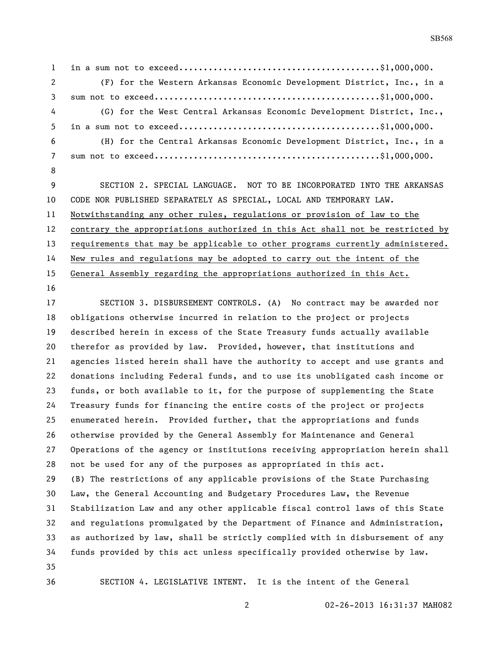in a sum not to exceed.........................................\$1,000,000. (F) for the Western Arkansas Economic Development District, Inc., in a sum not to exceed..............................................\$1,000,000. (G) for the West Central Arkansas Economic Development District, Inc., in a sum not to exceed.........................................\$1,000,000. (H) for the Central Arkansas Economic Development District, Inc., in a sum not to exceed..............................................\$1,000,000. SECTION 2. SPECIAL LANGUAGE. NOT TO BE INCORPORATED INTO THE ARKANSAS CODE NOR PUBLISHED SEPARATELY AS SPECIAL, LOCAL AND TEMPORARY LAW.

 contrary the appropriations authorized in this Act shall not be restricted by 13 requirements that may be applicable to other programs currently administered. New rules and regulations may be adopted to carry out the intent of the

General Assembly regarding the appropriations authorized in this Act.

Notwithstanding any other rules, regulations or provision of law to the

 SECTION 3. DISBURSEMENT CONTROLS. (A) No contract may be awarded nor obligations otherwise incurred in relation to the project or projects described herein in excess of the State Treasury funds actually available therefor as provided by law. Provided, however, that institutions and agencies listed herein shall have the authority to accept and use grants and donations including Federal funds, and to use its unobligated cash income or funds, or both available to it, for the purpose of supplementing the State Treasury funds for financing the entire costs of the project or projects enumerated herein. Provided further, that the appropriations and funds otherwise provided by the General Assembly for Maintenance and General Operations of the agency or institutions receiving appropriation herein shall not be used for any of the purposes as appropriated in this act. (B) The restrictions of any applicable provisions of the State Purchasing Law, the General Accounting and Budgetary Procedures Law, the Revenue Stabilization Law and any other applicable fiscal control laws of this State and regulations promulgated by the Department of Finance and Administration, as authorized by law, shall be strictly complied with in disbursement of any funds provided by this act unless specifically provided otherwise by law. SECTION 4. LEGISLATIVE INTENT. It is the intent of the General

02-26-2013 16:31:37 MAH082